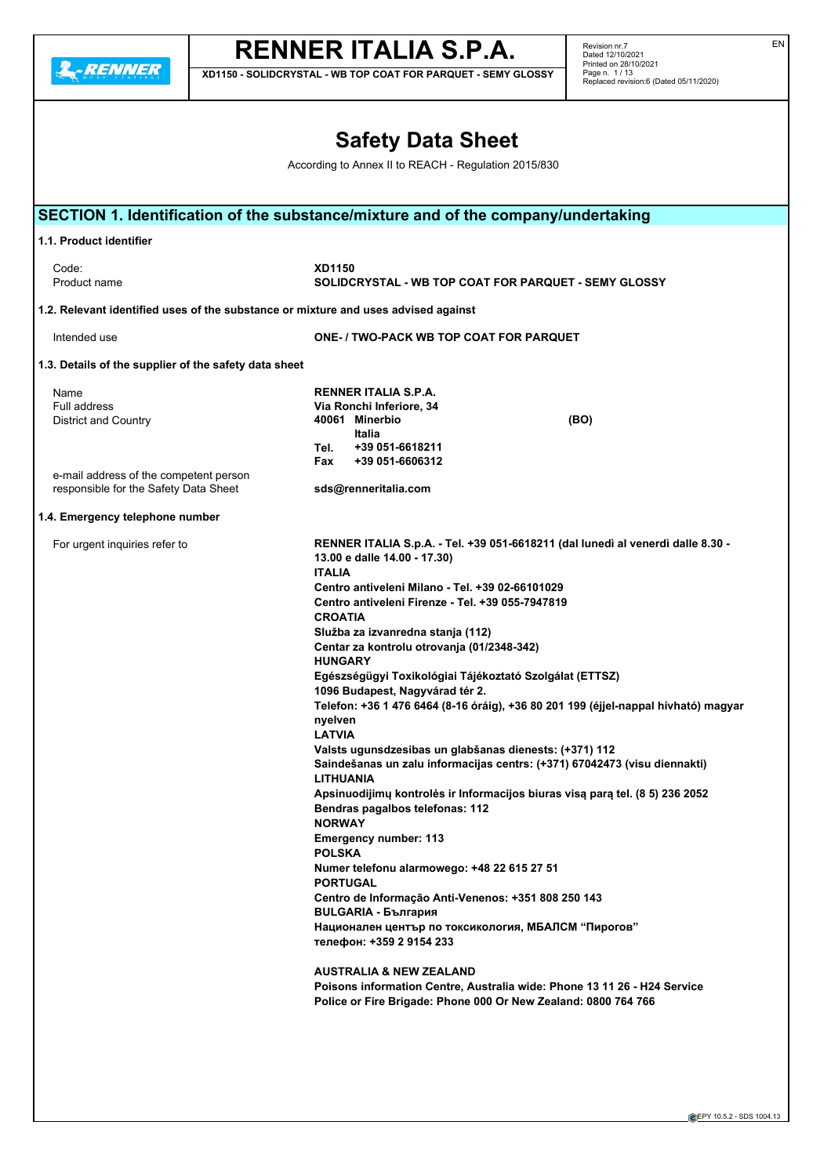**A**-RENNER

# **RENNER ITALIA S.P.A.**

**XD1150 - SOLIDCRYSTAL - WB TOP COAT FOR PARQUET - SEMY GLOSSY**

Revision nr.7 Dated 12/10/2021 Printed on 28/10/2021 Page n. 1 / 13 Replaced revision:6 (Dated 05/11/2020)

|                                                                                                      | <b>Safety Data Sheet</b>                                                                                                                                                                                                                                                                                                                                                                                                                                                                                                                                                                                                                                                                                                                                                                                                                                                                                                                                                                                                                                                                                                                                                                                                                                                                                                                              |  |  |  |  |
|------------------------------------------------------------------------------------------------------|-------------------------------------------------------------------------------------------------------------------------------------------------------------------------------------------------------------------------------------------------------------------------------------------------------------------------------------------------------------------------------------------------------------------------------------------------------------------------------------------------------------------------------------------------------------------------------------------------------------------------------------------------------------------------------------------------------------------------------------------------------------------------------------------------------------------------------------------------------------------------------------------------------------------------------------------------------------------------------------------------------------------------------------------------------------------------------------------------------------------------------------------------------------------------------------------------------------------------------------------------------------------------------------------------------------------------------------------------------|--|--|--|--|
| According to Annex II to REACH - Regulation 2015/830                                                 |                                                                                                                                                                                                                                                                                                                                                                                                                                                                                                                                                                                                                                                                                                                                                                                                                                                                                                                                                                                                                                                                                                                                                                                                                                                                                                                                                       |  |  |  |  |
|                                                                                                      | SECTION 1. Identification of the substance/mixture and of the company/undertaking                                                                                                                                                                                                                                                                                                                                                                                                                                                                                                                                                                                                                                                                                                                                                                                                                                                                                                                                                                                                                                                                                                                                                                                                                                                                     |  |  |  |  |
| 1.1. Product identifier                                                                              |                                                                                                                                                                                                                                                                                                                                                                                                                                                                                                                                                                                                                                                                                                                                                                                                                                                                                                                                                                                                                                                                                                                                                                                                                                                                                                                                                       |  |  |  |  |
| Code:<br>Product name                                                                                | XD1150<br>SOLIDCRYSTAL - WB TOP COAT FOR PARQUET - SEMY GLOSSY                                                                                                                                                                                                                                                                                                                                                                                                                                                                                                                                                                                                                                                                                                                                                                                                                                                                                                                                                                                                                                                                                                                                                                                                                                                                                        |  |  |  |  |
| 1.2. Relevant identified uses of the substance or mixture and uses advised against                   |                                                                                                                                                                                                                                                                                                                                                                                                                                                                                                                                                                                                                                                                                                                                                                                                                                                                                                                                                                                                                                                                                                                                                                                                                                                                                                                                                       |  |  |  |  |
| Intended use                                                                                         | <b>ONE- / TWO-PACK WB TOP COAT FOR PARQUET</b>                                                                                                                                                                                                                                                                                                                                                                                                                                                                                                                                                                                                                                                                                                                                                                                                                                                                                                                                                                                                                                                                                                                                                                                                                                                                                                        |  |  |  |  |
| 1.3. Details of the supplier of the safety data sheet                                                |                                                                                                                                                                                                                                                                                                                                                                                                                                                                                                                                                                                                                                                                                                                                                                                                                                                                                                                                                                                                                                                                                                                                                                                                                                                                                                                                                       |  |  |  |  |
| Name<br><b>Full address</b><br><b>District and Country</b><br>e-mail address of the competent person | RENNER ITALIA S.P.A.<br>Via Ronchi Inferiore, 34<br>40061 Minerbio<br>(BO)<br>Italia<br>Tel.<br>+39 051-6618211<br>+39 051-6606312<br>Fax                                                                                                                                                                                                                                                                                                                                                                                                                                                                                                                                                                                                                                                                                                                                                                                                                                                                                                                                                                                                                                                                                                                                                                                                             |  |  |  |  |
| responsible for the Safety Data Sheet                                                                | sds@renneritalia.com                                                                                                                                                                                                                                                                                                                                                                                                                                                                                                                                                                                                                                                                                                                                                                                                                                                                                                                                                                                                                                                                                                                                                                                                                                                                                                                                  |  |  |  |  |
| 1.4. Emergency telephone number                                                                      |                                                                                                                                                                                                                                                                                                                                                                                                                                                                                                                                                                                                                                                                                                                                                                                                                                                                                                                                                                                                                                                                                                                                                                                                                                                                                                                                                       |  |  |  |  |
| For urgent inquiries refer to                                                                        | RENNER ITALIA S.p.A. - Tel. +39 051-6618211 (dal lunedì al venerdì dalle 8.30 -<br>13.00 e dalle 14.00 - 17.30)<br><b>ITALIA</b><br>Centro antiveleni Milano - Tel. +39 02-66101029<br>Centro antiveleni Firenze - Tel. +39 055-7947819<br><b>CROATIA</b><br>Služba za izvanredna stanja (112)<br>Centar za kontrolu otrovanja (01/2348-342)<br><b>HUNGARY</b><br>Egészségügyi Toxikológiai Tájékoztató Szolgálat (ETTSZ)<br>1096 Budapest, Nagyvárad tér 2.<br>Telefon: +36 1 476 6464 (8-16 óráig), +36 80 201 199 (éjjel-nappal hívható) magyar<br>nyelven<br>LATVIA<br>Valsts ugunsdzesibas un glabšanas dienests: (+371) 112<br>Saindešanas un zalu informacijas centrs: (+371) 67042473 (visu diennakti)<br><b>LITHUANIA</b><br>Apsinuodijimų kontrolės ir Informacijos biuras visą parą tel. (8 5) 236 2052<br>Bendras pagalbos telefonas: 112<br><b>NORWAY</b><br><b>Emergency number: 113</b><br><b>POLSKA</b><br>Numer telefonu alarmowego: +48 22 615 27 51<br><b>PORTUGAL</b><br>Centro de Informação Anti-Venenos: +351 808 250 143<br><b>BULGARIA - България</b><br>Национален център по токсикология, МБАЛСМ "Пирогов"<br>телефон: +359 2 9154 233<br><b>AUSTRALIA &amp; NEW ZEALAND</b><br>Poisons information Centre, Australia wide: Phone 13 11 26 - H24 Service<br>Police or Fire Brigade: Phone 000 Or New Zealand: 0800 764 766 |  |  |  |  |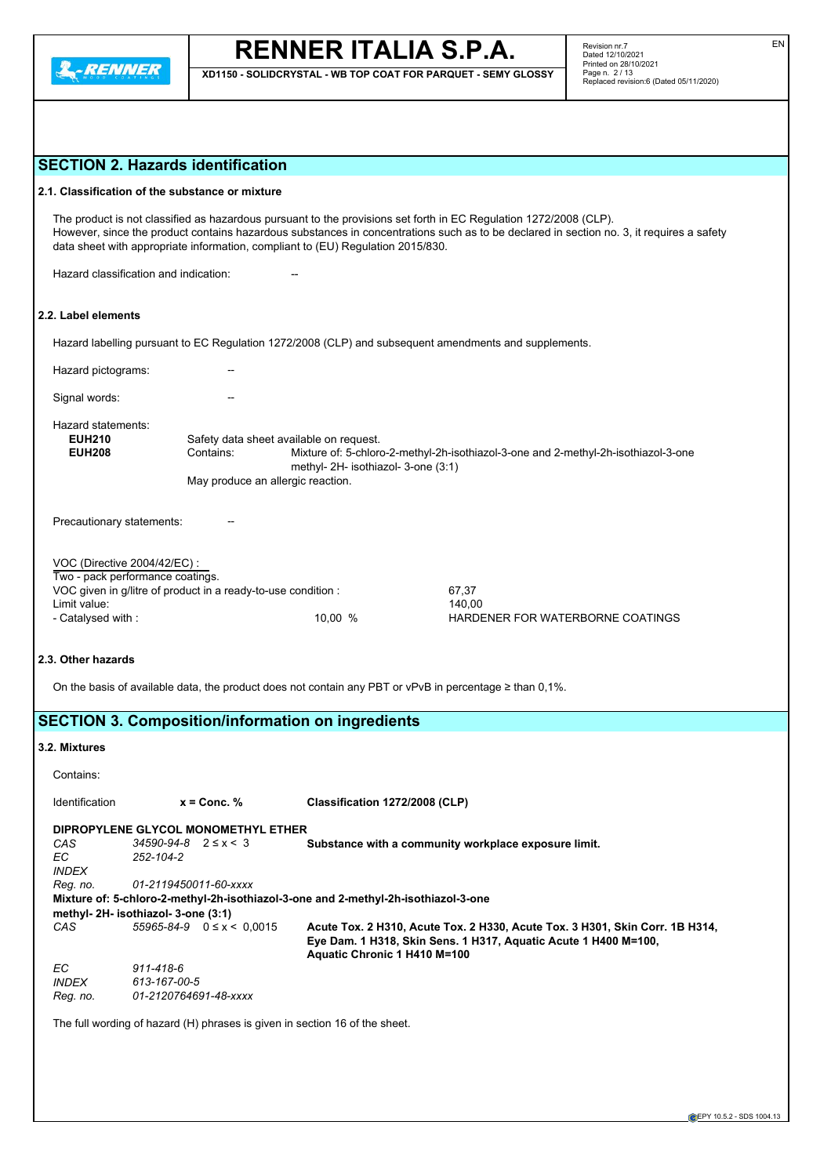

**XD1150 - SOLIDCRYSTAL - WB TOP COAT FOR PARQUET - SEMY GLOSSY**

# **SECTION 2. Hazards identification**

## **2.1. Classification of the substance or mixture**

The product is not classified as hazardous pursuant to the provisions set forth in EC Regulation 1272/2008 (CLP). However, since the product contains hazardous substances in concentrations such as to be declared in section no. 3, it requires a safety data sheet with appropriate information, compliant to (EU) Regulation 2015/830.

Hazard classification and indication:

# **2.2. Label elements**

Hazard labelling pursuant to EC Regulation 1272/2008 (CLP) and subsequent amendments and supplements.

| Hazard pictograms:                                               |                                                |                                                                                |                                                                                    |
|------------------------------------------------------------------|------------------------------------------------|--------------------------------------------------------------------------------|------------------------------------------------------------------------------------|
| Signal words:                                                    |                                                |                                                                                |                                                                                    |
| Hazard statements:<br><b>EUH210</b><br><b>EUH208</b>             | Contains:<br>May produce an allergic reaction. | Safety data sheet available on request.<br>methyl- 2H- isothiazol- 3-one (3:1) | Mixture of: 5-chloro-2-methyl-2h-isothiazol-3-one and 2-methyl-2h-isothiazol-3-one |
| Precautionary statements:                                        |                                                |                                                                                |                                                                                    |
| VOC (Directive 2004/42/EC) :<br>Two - pack performance coatings. |                                                |                                                                                |                                                                                    |
| VOC given in g/litre of product in a ready-to-use condition:     |                                                |                                                                                | 67,37                                                                              |
| Limit value:                                                     |                                                |                                                                                | 140,00                                                                             |
| - Catalysed with :                                               |                                                | 10.00%                                                                         | HARDENER FOR WATERBORNE COATINGS                                                   |

## **2.3. Other hazards**

On the basis of available data, the product does not contain any PBT or vPvB in percentage ≥ than 0,1%.

# **SECTION 3. Composition/information on ingredients**

## **3.2. Mixtures**

| Contains:                           |                                     |                                                                                                                                                                                 |  |  |  |  |  |
|-------------------------------------|-------------------------------------|---------------------------------------------------------------------------------------------------------------------------------------------------------------------------------|--|--|--|--|--|
| Identification                      | $x =$ Conc. %                       | Classification 1272/2008 (CLP)                                                                                                                                                  |  |  |  |  |  |
| DIPROPYLENE GLYCOL MONOMETHYL ETHER |                                     |                                                                                                                                                                                 |  |  |  |  |  |
| CAS                                 | $34590 - 94 - 8$ $2 \le x < 3$      | Substance with a community workplace exposure limit.                                                                                                                            |  |  |  |  |  |
| EC.                                 | 252-104-2                           |                                                                                                                                                                                 |  |  |  |  |  |
| <b>INDEX</b>                        |                                     |                                                                                                                                                                                 |  |  |  |  |  |
| Reg. no.                            | 01-2119450011-60-xxxx               |                                                                                                                                                                                 |  |  |  |  |  |
|                                     |                                     | Mixture of: 5-chloro-2-methyl-2h-isothiazol-3-one and 2-methyl-2h-isothiazol-3-one                                                                                              |  |  |  |  |  |
|                                     | methyl- 2H- isothiazol- 3-one (3:1) |                                                                                                                                                                                 |  |  |  |  |  |
| CAS.                                | $55965 - 84 - 9$ $0 \le x < 0.0015$ | Acute Tox. 2 H310, Acute Tox. 2 H330, Acute Tox. 3 H301, Skin Corr. 1B H314,<br>Eye Dam. 1 H318, Skin Sens. 1 H317, Aquatic Acute 1 H400 M=100,<br>Aquatic Chronic 1 H410 M=100 |  |  |  |  |  |
| EC.                                 | 911-418-6                           |                                                                                                                                                                                 |  |  |  |  |  |
| <i><b>INDEX</b></i>                 | 613-167-00-5                        |                                                                                                                                                                                 |  |  |  |  |  |
| Reg. no.                            | 01-2120764691-48-xxxx               |                                                                                                                                                                                 |  |  |  |  |  |

The full wording of hazard (H) phrases is given in section 16 of the sheet.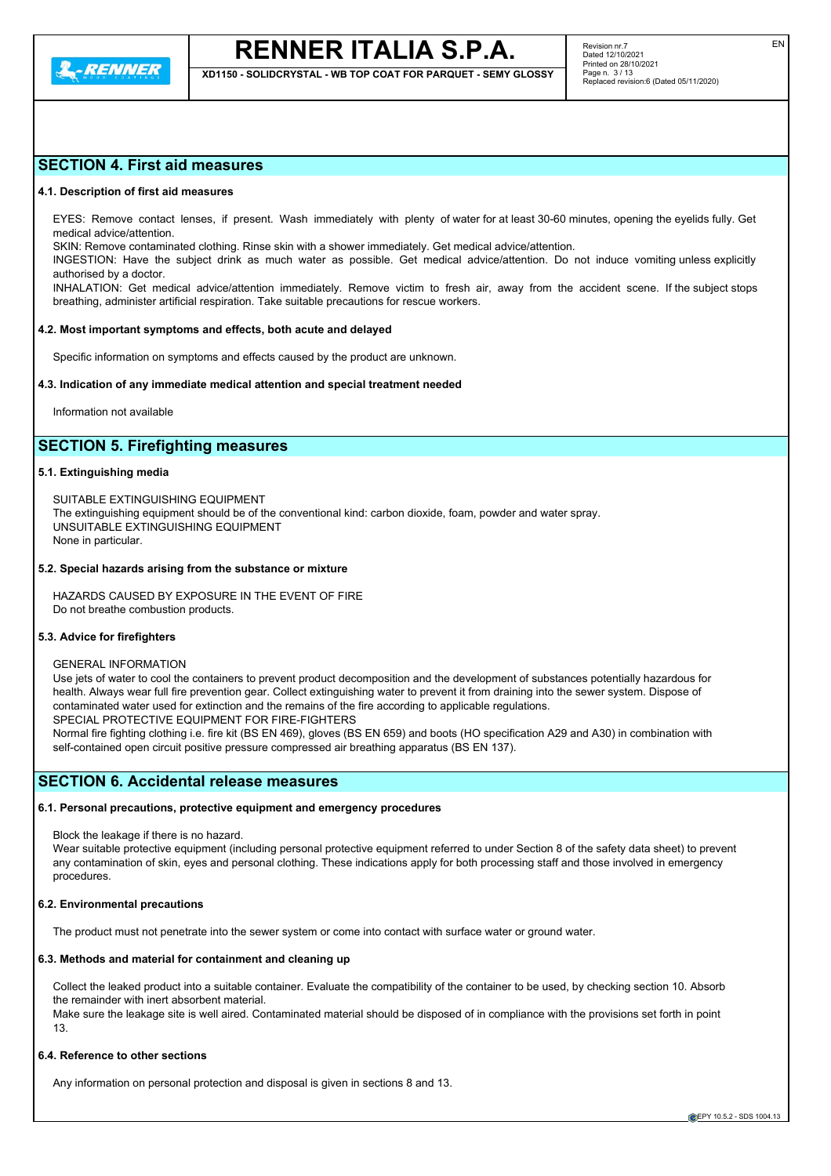

**XD1150 - SOLIDCRYSTAL - WB TOP COAT FOR PARQUET - SEMY GLOSSY**

# **SECTION 4. First aid measures**

#### **4.1. Description of first aid measures**

EYES: Remove contact lenses, if present. Wash immediately with plenty of water for at least 30-60 minutes, opening the eyelids fully. Get medical advice/attention.

SKIN: Remove contaminated clothing. Rinse skin with a shower immediately. Get medical advice/attention.

INGESTION: Have the subject drink as much water as possible. Get medical advice/attention. Do not induce vomiting unless explicitly authorised by a doctor.

INHALATION: Get medical advice/attention immediately. Remove victim to fresh air, away from the accident scene. If the subject stops breathing, administer artificial respiration. Take suitable precautions for rescue workers.

### **4.2. Most important symptoms and effects, both acute and delayed**

Specific information on symptoms and effects caused by the product are unknown.

#### **4.3. Indication of any immediate medical attention and special treatment needed**

Information not available

# **SECTION 5. Firefighting measures**

#### **5.1. Extinguishing media**

SUITABLE EXTINGUISHING EQUIPMENT The extinguishing equipment should be of the conventional kind: carbon dioxide, foam, powder and water spray. UNSUITABLE EXTINGUISHING EQUIPMENT None in particular.

#### **5.2. Special hazards arising from the substance or mixture**

HAZARDS CAUSED BY EXPOSURE IN THE EVENT OF FIRE Do not breathe combustion products.

#### **5.3. Advice for firefighters**

#### GENERAL INFORMATION

Use jets of water to cool the containers to prevent product decomposition and the development of substances potentially hazardous for health. Always wear full fire prevention gear. Collect extinguishing water to prevent it from draining into the sewer system. Dispose of contaminated water used for extinction and the remains of the fire according to applicable regulations. SPECIAL PROTECTIVE EQUIPMENT FOR FIRE-FIGHTERS Normal fire fighting clothing i.e. fire kit (BS EN 469), gloves (BS EN 659) and boots (HO specification A29 and A30) in combination with

self-contained open circuit positive pressure compressed air breathing apparatus (BS EN 137).

## **SECTION 6. Accidental release measures**

#### **6.1. Personal precautions, protective equipment and emergency procedures**

Block the leakage if there is no hazard.

Wear suitable protective equipment (including personal protective equipment referred to under Section 8 of the safety data sheet) to prevent any contamination of skin, eyes and personal clothing. These indications apply for both processing staff and those involved in emergency procedures.

#### **6.2. Environmental precautions**

The product must not penetrate into the sewer system or come into contact with surface water or ground water.

## **6.3. Methods and material for containment and cleaning up**

Collect the leaked product into a suitable container. Evaluate the compatibility of the container to be used, by checking section 10. Absorb the remainder with inert absorbent material.

Make sure the leakage site is well aired. Contaminated material should be disposed of in compliance with the provisions set forth in point 13.

## **6.4. Reference to other sections**

Any information on personal protection and disposal is given in sections 8 and 13.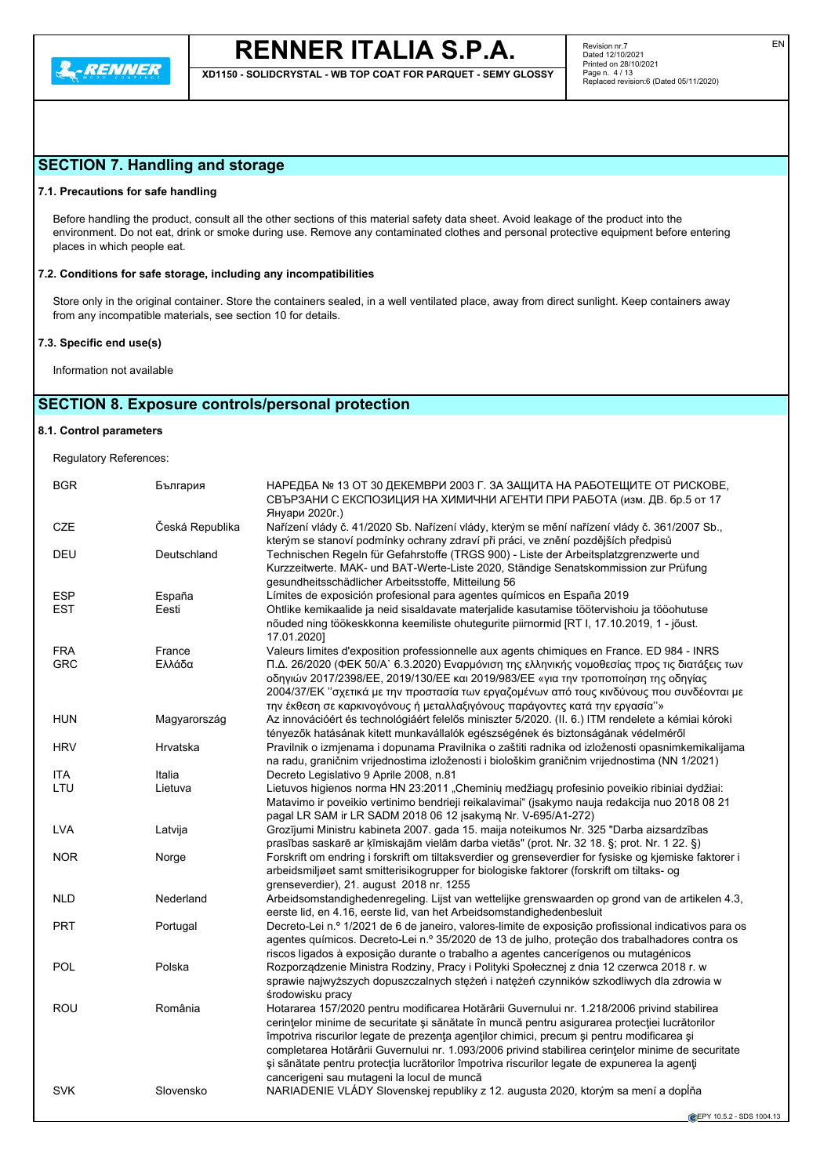**XD1150 - SOLIDCRYSTAL - WB TOP COAT FOR PARQUET - SEMY GLOSSY**

# **SECTION 7. Handling and storage**

### **7.1. Precautions for safe handling**

Before handling the product, consult all the other sections of this material safety data sheet. Avoid leakage of the product into the environment. Do not eat, drink or smoke during use. Remove any contaminated clothes and personal protective equipment before entering places in which people eat.

### **7.2. Conditions for safe storage, including any incompatibilities**

Store only in the original container. Store the containers sealed, in a well ventilated place, away from direct sunlight. Keep containers away from any incompatible materials, see section 10 for details.

### **7.3. Specific end use(s)**

Information not available

# **SECTION 8. Exposure controls/personal protection**

#### **8.1. Control parameters**

Regulatory References:

| <b>BGR</b> | България        | НАРЕДБА № 13 ОТ 30 ДЕКЕМВРИ 2003 Г. ЗА ЗАЩИТА НА РАБОТЕЩИТЕ ОТ РИСКОВЕ,<br>СВЪРЗАНИ С ЕКСПОЗИЦИЯ НА ХИМИЧНИ АГЕНТИ ПРИ РАБОТА (изм. ДВ. бр.5 от 17<br>Януари 2020г.)                                                                                                                                                                                                                                                                                                                                                                             |
|------------|-----------------|--------------------------------------------------------------------------------------------------------------------------------------------------------------------------------------------------------------------------------------------------------------------------------------------------------------------------------------------------------------------------------------------------------------------------------------------------------------------------------------------------------------------------------------------------|
| <b>CZE</b> | Česká Republika | Nařízení vlády č. 41/2020 Sb. Nařízení vlády, kterým se mění nařízení vlády č. 361/2007 Sb.,<br>kterým se stanoví podmínky ochrany zdraví při práci, ve znění pozdějších předpisů                                                                                                                                                                                                                                                                                                                                                                |
| DEU        | Deutschland     | Technischen Regeln für Gefahrstoffe (TRGS 900) - Liste der Arbeitsplatzgrenzwerte und<br>Kurzzeitwerte. MAK- und BAT-Werte-Liste 2020, Ständige Senatskommission zur Prüfung<br>gesundheitsschädlicher Arbeitsstoffe, Mitteilung 56                                                                                                                                                                                                                                                                                                              |
| <b>ESP</b> | España          | Límites de exposición profesional para agentes químicos en España 2019                                                                                                                                                                                                                                                                                                                                                                                                                                                                           |
| <b>EST</b> | Eesti           | Ohtlike kemikaalide ja neid sisaldavate materjalide kasutamise töötervishoiu ja tööohutuse<br>nõuded ning töökeskkonna keemiliste ohutegurite piirnormid [RT I, 17.10.2019, 1 - jõust.<br>17.01.2020]                                                                                                                                                                                                                                                                                                                                            |
| <b>FRA</b> | France          | Valeurs limites d'exposition professionnelle aux agents chimiques en France. ED 984 - INRS                                                                                                                                                                                                                                                                                                                                                                                                                                                       |
| <b>GRC</b> | Ελλάδα          | Π.Δ. 26/2020 (ΦΕΚ 50/Α` 6.3.2020) Εναρμόνιση της ελληνικής νομοθεσίας προς τις διατάξεις των<br>οδηγιών 2017/2398/EE, 2019/130/EE και 2019/983/EE «για την τροποποίηση της οδηγίας<br>2004/37/ΕΚ "σχετικά με την προστασία των εργαζομένων από τους κινδύνους που συνδέονται με<br>την έκθεση σε καρκινογόνους ή μεταλλαξιγόνους παράγοντες κατά την εργασία"»                                                                                                                                                                                   |
| <b>HUN</b> | Magyarország    | Az innovációért és technológiáért felelős miniszter 5/2020. (II. 6.) ITM rendelete a kémiai kóroki<br>tényezők hatásának kitett munkavállalók egészségének és biztonságának védelméről                                                                                                                                                                                                                                                                                                                                                           |
| <b>HRV</b> | Hrvatska        | Pravilnik o izmjenama i dopunama Pravilnika o zaštiti radnika od izloženosti opasnimkemikalijama<br>na radu, graničnim vrijednostima izloženosti i biološkim graničnim vrijednostima (NN 1/2021)                                                                                                                                                                                                                                                                                                                                                 |
| <b>ITA</b> | Italia          | Decreto Legislativo 9 Aprile 2008, n.81                                                                                                                                                                                                                                                                                                                                                                                                                                                                                                          |
| LTU        | Lietuva         | Lietuvos higienos norma HN 23:2011 "Cheminių medžiagų profesinio poveikio ribiniai dydžiai:<br>Matavimo ir poveikio vertinimo bendrieji reikalavimai" (jsakymo nauja redakcija nuo 2018 08 21<br>pagal LR SAM ir LR SADM 2018 06 12 įsakymą Nr. V-695/A1-272)                                                                                                                                                                                                                                                                                    |
| <b>LVA</b> | Latvija         | Grozījumi Ministru kabineta 2007. gada 15. maija noteikumos Nr. 325 "Darba aizsardzības<br>prasības saskarē ar ķīmiskajām vielām darba vietās" (prot. Nr. 32 18. §; prot. Nr. 1 22. §)                                                                                                                                                                                                                                                                                                                                                           |
| <b>NOR</b> | Norge           | Forskrift om endring i forskrift om tiltaksverdier og grenseverdier for fysiske og kjemiske faktorer i<br>arbeidsmiljøet samt smitterisikogrupper for biologiske faktorer (forskrift om tiltaks- og<br>grenseverdier), 21. august 2018 nr. 1255                                                                                                                                                                                                                                                                                                  |
| <b>NLD</b> | Nederland       | Arbeidsomstandighedenregeling. Lijst van wettelijke grenswaarden op grond van de artikelen 4.3,<br>eerste lid, en 4.16, eerste lid, van het Arbeidsomstandighedenbesluit                                                                                                                                                                                                                                                                                                                                                                         |
| <b>PRT</b> | Portugal        | Decreto-Lei n.º 1/2021 de 6 de janeiro, valores-limite de exposição profissional indicativos para os<br>agentes químicos. Decreto-Lei n.º 35/2020 de 13 de julho, proteção dos trabalhadores contra os<br>riscos ligados à exposição durante o trabalho a agentes cancerígenos ou mutagénicos                                                                                                                                                                                                                                                    |
| <b>POL</b> | Polska          | Rozporządzenie Ministra Rodziny, Pracy i Polityki Społecznej z dnia 12 czerwca 2018 r. w<br>sprawie najwyższych dopuszczalnych stężeń i natężeń czynników szkodliwych dla zdrowia w<br>środowisku pracy                                                                                                                                                                                                                                                                                                                                          |
| ROU        | România         | Hotararea 157/2020 pentru modificarea Hotărârii Guvernului nr. 1.218/2006 privind stabilirea<br>cerințelor minime de securitate și sănătate în muncă pentru asigurarea protecției lucrătorilor<br>împotriva riscurilor legate de prezența agenților chimici, precum și pentru modificarea și<br>completarea Hotărârii Guvernului nr. 1.093/2006 privind stabilirea cerințelor minime de securitate<br>și sănătate pentru protecția lucrătorilor împotriva riscurilor legate de expunerea la agenți<br>cancerigeni sau mutageni la locul de muncă |
| <b>SVK</b> | Slovensko       | NARIADENIE VLÁDY Slovenskej republiky z 12. augusta 2020, ktorým sa mení a dopĺňa                                                                                                                                                                                                                                                                                                                                                                                                                                                                |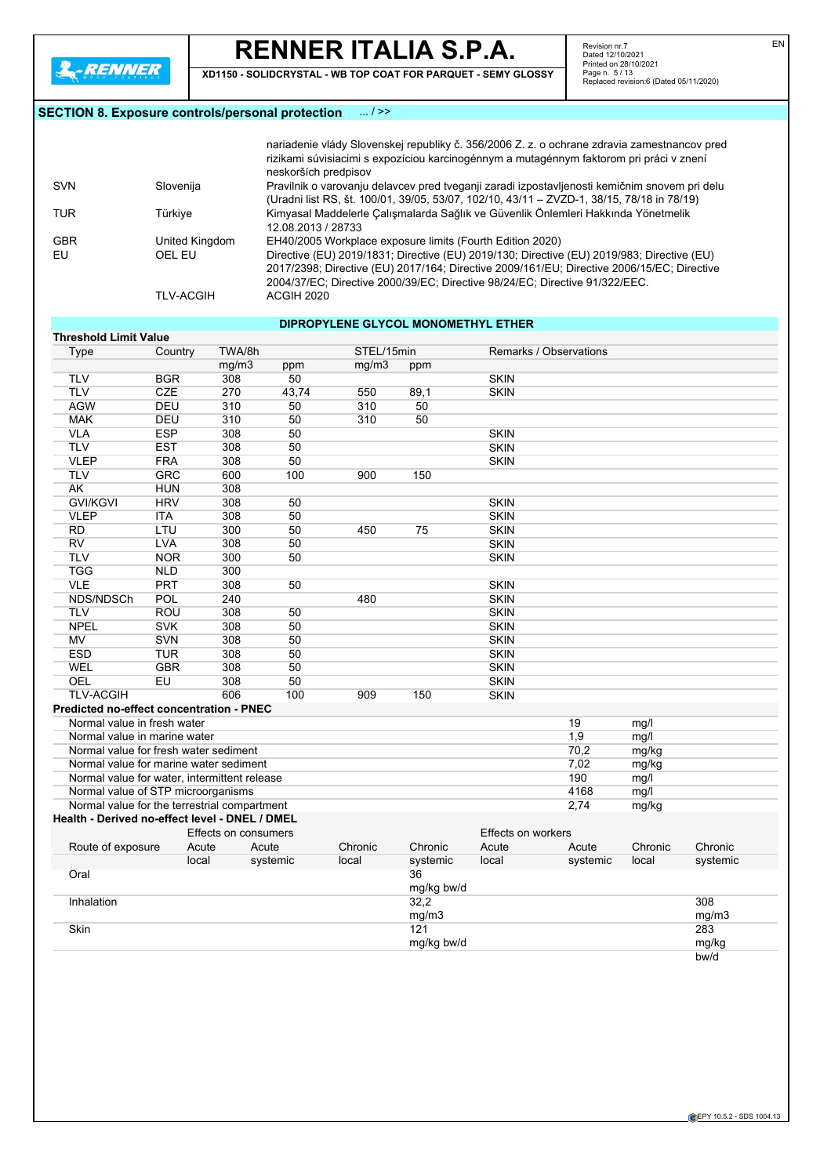**Threshold Limit Value**

# **RENNER ITALIA S.P.A.**

**XD1150 - SOLIDCRYSTAL - WB TOP COAT FOR PARQUET - SEMY GLOSSY**

Revision nr.7 Dated 12/10/2021 Printed on 28/10/2021 Page n. 5 / 13 Replaced revision:6 (Dated 05/11/2020)

## **SECTION 8. Exposure controls/personal protection** ... / >>

|            |                  | nariadenie vlády Slovenskej republiky č. 356/2006 Z. z. o ochrane zdravia zamestnancov pred<br>rizikami súvisiacimi s expozíciou karcinogénnym a mutagénnym faktorom pri práci v znení<br>neskorších predpisov                                                          |
|------------|------------------|-------------------------------------------------------------------------------------------------------------------------------------------------------------------------------------------------------------------------------------------------------------------------|
| <b>SVN</b> | Slovenija        | Pravilnik o varovanju delavcev pred tveganji zaradi izpostavljenosti kemičnim snovem pri delu<br>(Uradni list RS, št. 100/01, 39/05, 53/07, 102/10, 43/11 - ZVZD-1, 38/15, 78/18 in 78/19)                                                                              |
| <b>TUR</b> | Türkiye          | Kimyasal Maddelerle Çalışmalarda Sağlık ve Güvenlik Önlemleri Hakkında Yönetmelik<br>12.08.2013 / 28733                                                                                                                                                                 |
| <b>GBR</b> | United Kingdom   | EH40/2005 Workplace exposure limits (Fourth Edition 2020)                                                                                                                                                                                                               |
| EU         | OFI FU           | Directive (EU) 2019/1831; Directive (EU) 2019/130; Directive (EU) 2019/983; Directive (EU)<br>2017/2398; Directive (EU) 2017/164; Directive 2009/161/EU; Directive 2006/15/EC; Directive<br>2004/37/EC: Directive 2000/39/EC: Directive 98/24/EC: Directive 91/322/EEC. |
|            | <b>TLV-ACGIH</b> | ACGIH 2020                                                                                                                                                                                                                                                              |

# **DIPROPYLENE GLYCOL MONOMETHYL ETHER**

| Type                                           | Country    | TWA/8h               |          | STEL/15min |            |                           | Remarks / Observations |         |          |
|------------------------------------------------|------------|----------------------|----------|------------|------------|---------------------------|------------------------|---------|----------|
|                                                |            | mg/m3                | ppm      | mq/m3      | ppm        |                           |                        |         |          |
| <b>TLV</b>                                     | <b>BGR</b> | 308                  | 50       |            |            | <b>SKIN</b>               |                        |         |          |
| <b>TLV</b>                                     | <b>CZE</b> | 270                  | 43,74    | 550        | 89,1       | <b>SKIN</b>               |                        |         |          |
| <b>AGW</b>                                     | <b>DEU</b> | 310                  | 50       | 310        | 50         |                           |                        |         |          |
| <b>MAK</b>                                     | DEU        | 310                  | 50       | 310        | 50         |                           |                        |         |          |
| <b>VLA</b>                                     | <b>ESP</b> | 308                  | 50       |            |            | <b>SKIN</b>               |                        |         |          |
| <b>TLV</b>                                     | <b>EST</b> | 308                  | 50       |            |            | <b>SKIN</b>               |                        |         |          |
| <b>VLEP</b>                                    | <b>FRA</b> | 308                  | 50       |            |            | <b>SKIN</b>               |                        |         |          |
| <b>TLV</b>                                     | <b>GRC</b> | 600                  | 100      | 900        | 150        |                           |                        |         |          |
| <b>AK</b>                                      | <b>HUN</b> | 308                  |          |            |            |                           |                        |         |          |
| <b>GVI/KGVI</b>                                | <b>HRV</b> | 308                  | 50       |            |            | <b>SKIN</b>               |                        |         |          |
| <b>VLEP</b>                                    | <b>ITA</b> | 308                  | 50       |            |            | <b>SKIN</b>               |                        |         |          |
| <b>RD</b>                                      | LTU        | 300                  | 50       | 450        | 75         | <b>SKIN</b>               |                        |         |          |
| <b>RV</b>                                      | LVA        | 308                  | 50       |            |            | <b>SKIN</b>               |                        |         |          |
| <b>TLV</b>                                     | <b>NOR</b> | 300                  | 50       |            |            | <b>SKIN</b>               |                        |         |          |
| <b>TGG</b>                                     | <b>NLD</b> | 300                  |          |            |            |                           |                        |         |          |
| <b>VLE</b>                                     | <b>PRT</b> | 308                  | 50       |            |            | <b>SKIN</b>               |                        |         |          |
| NDS/NDSCh                                      | POL        | 240                  |          | 480        |            | <b>SKIN</b>               |                        |         |          |
| <b>TLV</b>                                     | ROU        | 308                  | 50       |            |            | <b>SKIN</b>               |                        |         |          |
| <b>NPEL</b>                                    | <b>SVK</b> | 308                  | 50       |            |            | <b>SKIN</b>               |                        |         |          |
| <b>MV</b>                                      | SVN        | 308                  | 50       |            |            | <b>SKIN</b>               |                        |         |          |
| <b>ESD</b>                                     | <b>TUR</b> | 308                  | 50       |            |            | <b>SKIN</b>               |                        |         |          |
| <b>WEL</b>                                     | <b>GBR</b> | 308                  | 50       |            |            | <b>SKIN</b>               |                        |         |          |
| OEL                                            | EU         | 308                  | 50       |            |            | <b>SKIN</b>               |                        |         |          |
| <b>TLV-ACGIH</b>                               |            | 606                  | 100      | 909        | 150        | <b>SKIN</b>               |                        |         |          |
| Predicted no-effect concentration - PNEC       |            |                      |          |            |            |                           |                        |         |          |
| Normal value in fresh water                    |            |                      |          |            |            |                           | 19                     | mg/l    |          |
| Normal value in marine water                   |            |                      |          |            |            |                           | 1,9                    | mg/l    |          |
| Normal value for fresh water sediment          |            |                      |          |            |            |                           | 70,2                   | mg/kg   |          |
| Normal value for marine water sediment         |            |                      |          |            |            |                           | 7,02                   | mg/kg   |          |
| Normal value for water, intermittent release   |            |                      |          |            |            |                           | 190                    | mg/l    |          |
| Normal value of STP microorganisms             |            |                      |          |            |            |                           | 4168                   | mg/l    |          |
| Normal value for the terrestrial compartment   |            |                      |          |            |            |                           | 2,74                   | mg/kg   |          |
| Health - Derived no-effect level - DNEL / DMEL |            |                      |          |            |            |                           |                        |         |          |
|                                                |            | Effects on consumers |          |            |            | <b>Effects on workers</b> |                        |         |          |
| Route of exposure                              | Acute      | Acute                |          | Chronic    | Chronic    | Acute                     | Acute                  | Chronic | Chronic  |
|                                                | local      |                      | systemic | local      | systemic   | local                     | systemic               | local   | systemic |
| Oral                                           |            |                      |          |            | 36         |                           |                        |         |          |
|                                                |            |                      |          |            | mg/kg bw/d |                           |                        |         |          |
| Inhalation                                     |            |                      |          |            | 32,2       |                           |                        |         | 308      |
|                                                |            |                      |          |            | mg/m3      |                           |                        |         | mg/m3    |
| Skin                                           |            |                      |          |            | 121        |                           |                        |         | 283      |
|                                                |            |                      |          |            | mg/kg bw/d |                           |                        |         | mg/kg    |
|                                                |            |                      |          |            |            |                           |                        |         | bw/d     |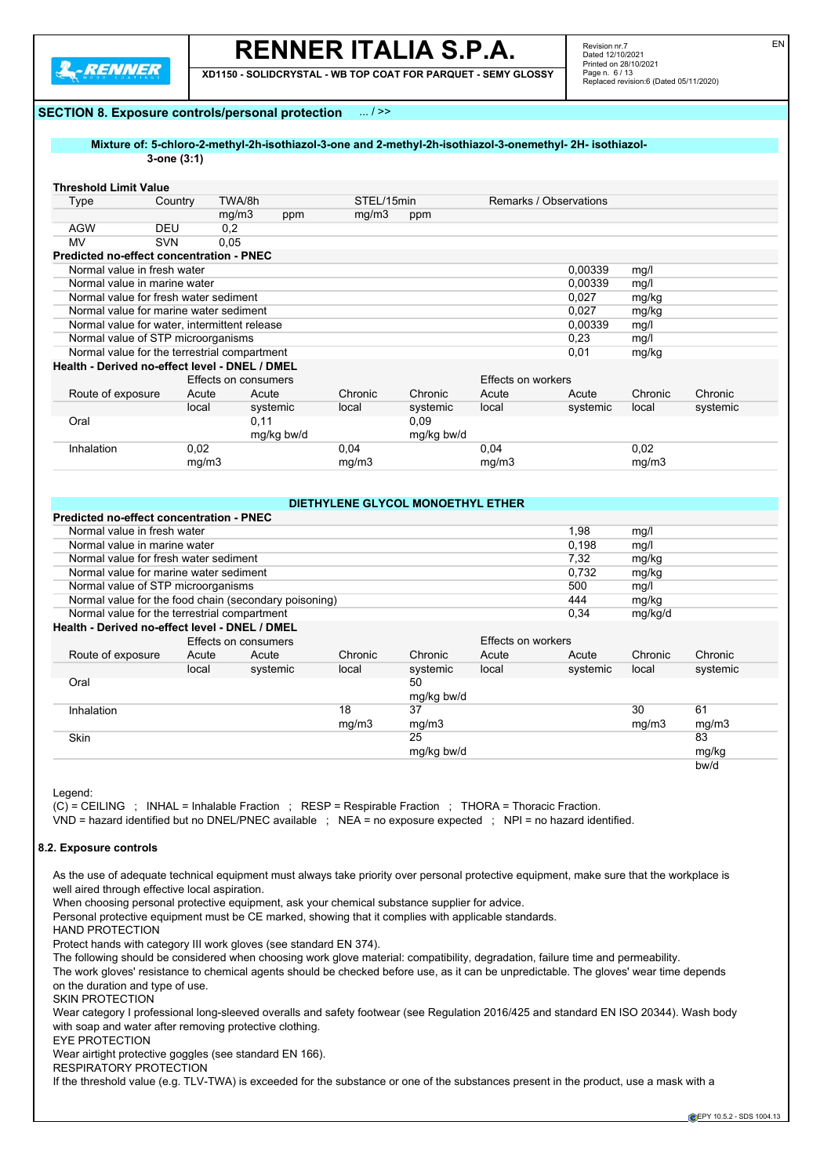

**XD1150 - SOLIDCRYSTAL - WB TOP COAT FOR PARQUET - SEMY GLOSSY**

Revision nr.7 Dated 12/10/2021 Printed on 28/10/2021 Page n. 6 / 13 Replaced revision:6 (Dated 05/11/2020) EN

#### **SECTION 8. Exposure controls/personal protection** ... / >>

#### **Mixture of: 5-chloro-2-methyl-2h-isothiazol-3-one and 2-methyl-2h-isothiazol-3-onemethyl- 2H- isothiazol-3-one (3:1)**

#### **Threshold Limit Value**

| Type                                            | Country    | TWA/8h               |            | STEL/15min |            | Remarks / Observations |          |         |          |
|-------------------------------------------------|------------|----------------------|------------|------------|------------|------------------------|----------|---------|----------|
|                                                 |            | mg/m3                | ppm        | mg/m3      | ppm        |                        |          |         |          |
| AGW                                             | <b>DEU</b> | 0,2                  |            |            |            |                        |          |         |          |
| MV                                              | <b>SVN</b> | 0,05                 |            |            |            |                        |          |         |          |
| <b>Predicted no-effect concentration - PNEC</b> |            |                      |            |            |            |                        |          |         |          |
| Normal value in fresh water                     |            |                      |            |            |            |                        | 0.00339  | mg/l    |          |
| Normal value in marine water                    |            |                      |            |            |            |                        | 0,00339  | mg/l    |          |
| Normal value for fresh water sediment           |            |                      |            |            |            |                        | 0,027    | mg/kg   |          |
| Normal value for marine water sediment          |            |                      |            |            |            |                        | 0.027    | mg/kg   |          |
| Normal value for water, intermittent release    |            |                      |            |            |            |                        | 0,00339  | mg/l    |          |
| Normal value of STP microorganisms              |            |                      |            |            |            | 0,23                   | mg/l     |         |          |
| Normal value for the terrestrial compartment    |            |                      |            |            |            |                        | 0,01     | mg/kg   |          |
| Health - Derived no-effect level - DNEL / DMEL  |            |                      |            |            |            |                        |          |         |          |
|                                                 |            | Effects on consumers |            |            |            | Effects on workers     |          |         |          |
| Route of exposure                               | Acute      | Acute                |            | Chronic    | Chronic    | Acute                  | Acute    | Chronic | Chronic  |
|                                                 | local      |                      | systemic   | local      | systemic   | local                  | systemic | local   | systemic |
| Oral                                            |            | 0,11                 |            |            | 0.09       |                        |          |         |          |
|                                                 |            |                      | mg/kg bw/d |            | mg/kg bw/d |                        |          |         |          |
| Inhalation                                      | 0,02       |                      |            | 0,04       |            | 0,04                   |          | 0,02    |          |
|                                                 | mg/m3      |                      |            | mg/m3      |            | mg/m3                  |          | mg/m3   |          |

|                                                       |                                               |                      |         | DIETHYLENE GLYCOL MONOETHYL ETHER |                    |          |         |          |  |
|-------------------------------------------------------|-----------------------------------------------|----------------------|---------|-----------------------------------|--------------------|----------|---------|----------|--|
| <b>Predicted no-effect concentration - PNEC</b>       |                                               |                      |         |                                   |                    |          |         |          |  |
| Normal value in fresh water                           |                                               |                      |         |                                   |                    | 1,98     | mg/l    |          |  |
|                                                       | Normal value in marine water<br>0,198<br>mg/l |                      |         |                                   |                    |          |         |          |  |
| Normal value for fresh water sediment                 |                                               |                      |         |                                   |                    | 7,32     | mg/kg   |          |  |
| Normal value for marine water sediment                |                                               |                      |         |                                   |                    | 0.732    | mg/kg   |          |  |
| Normal value of STP microorganisms                    |                                               |                      |         |                                   |                    | 500      | mg/l    |          |  |
| Normal value for the food chain (secondary poisoning) |                                               |                      |         |                                   |                    | 444      | mg/kg   |          |  |
| Normal value for the terrestrial compartment          |                                               |                      |         |                                   |                    | 0,34     | mg/kg/d |          |  |
| Health - Derived no-effect level - DNEL / DMEL        |                                               |                      |         |                                   |                    |          |         |          |  |
|                                                       |                                               | Effects on consumers |         |                                   | Effects on workers |          |         |          |  |
| Route of exposure                                     | Acute                                         | Acute                | Chronic | Chronic                           | Acute              | Acute    | Chronic | Chronic  |  |
|                                                       | local                                         | systemic             | local   | systemic                          | local              | systemic | local   | systemic |  |
| Oral                                                  |                                               |                      |         | 50                                |                    |          |         |          |  |
|                                                       |                                               |                      |         | mg/kg bw/d                        |                    |          |         |          |  |
| Inhalation                                            |                                               |                      | 18      | 37                                |                    |          | 30      | 61       |  |
|                                                       |                                               |                      | mg/m3   | mg/m3                             |                    |          | mg/m3   | mg/m3    |  |
| Skin                                                  |                                               |                      |         | 25                                |                    |          |         | 83       |  |
|                                                       |                                               |                      |         | mg/kg bw/d                        |                    |          |         | mg/kg    |  |
|                                                       |                                               |                      |         |                                   |                    |          |         | bw/d     |  |

Legend:

(C) = CEILING ; INHAL = Inhalable Fraction ; RESP = Respirable Fraction ; THORA = Thoracic Fraction.

VND = hazard identified but no DNEL/PNEC available ; NEA = no exposure expected ; NPI = no hazard identified.

### **8.2. Exposure controls**

As the use of adequate technical equipment must always take priority over personal protective equipment, make sure that the workplace is well aired through effective local aspiration.

When choosing personal protective equipment, ask your chemical substance supplier for advice.

Personal protective equipment must be CE marked, showing that it complies with applicable standards.

HAND PROTECTION

Protect hands with category III work gloves (see standard EN 374).

The following should be considered when choosing work glove material: compatibility, degradation, failure time and permeability.

The work gloves' resistance to chemical agents should be checked before use, as it can be unpredictable. The gloves' wear time depends on the duration and type of use.

SKIN PROTECTION

Wear category I professional long-sleeved overalls and safety footwear (see Regulation 2016/425 and standard EN ISO 20344). Wash body with soap and water after removing protective clothing.

EYE PROTECTION

Wear airtight protective goggles (see standard EN 166).

RESPIRATORY PROTECTION

If the threshold value (e.g. TLV-TWA) is exceeded for the substance or one of the substances present in the product, use a mask with a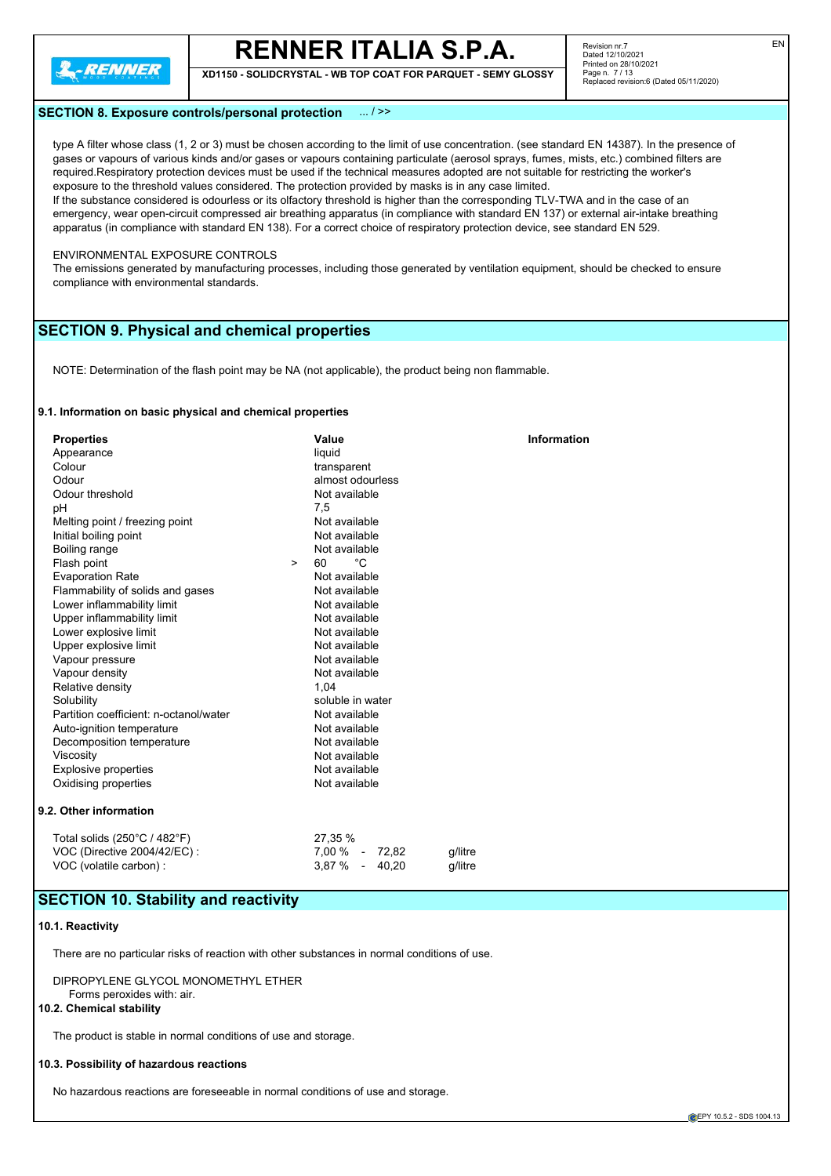

**XD1150 - SOLIDCRYSTAL - WB TOP COAT FOR PARQUET - SEMY GLOSSY**

### **SECTION 8. Exposure controls/personal protection** ... / >>

type A filter whose class (1, 2 or 3) must be chosen according to the limit of use concentration. (see standard EN 14387). In the presence of gases or vapours of various kinds and/or gases or vapours containing particulate (aerosol sprays, fumes, mists, etc.) combined filters are required.Respiratory protection devices must be used if the technical measures adopted are not suitable for restricting the worker's exposure to the threshold values considered. The protection provided by masks is in any case limited.

If the substance considered is odourless or its olfactory threshold is higher than the corresponding TLV-TWA and in the case of an emergency, wear open-circuit compressed air breathing apparatus (in compliance with standard EN 137) or external air-intake breathing apparatus (in compliance with standard EN 138). For a correct choice of respiratory protection device, see standard EN 529.

#### ENVIRONMENTAL EXPOSURE CONTROLS

The emissions generated by manufacturing processes, including those generated by ventilation equipment, should be checked to ensure compliance with environmental standards.

# **SECTION 9. Physical and chemical properties**

NOTE: Determination of the flash point may be NA (not applicable), the product being non flammable.

#### **9.1. Information on basic physical and chemical properties**

| <b>Properties</b>                      | Value                     | <b>Information</b> |
|----------------------------------------|---------------------------|--------------------|
| Appearance                             | liquid                    |                    |
| Colour                                 | transparent               |                    |
| Odour                                  | almost odourless          |                    |
| Odour threshold                        | Not available             |                    |
| pH                                     | 7,5                       |                    |
| Melting point / freezing point         | Not available             |                    |
| Initial boiling point                  | Not available             |                    |
| Boiling range                          | Not available             |                    |
| Flash point<br>$\geq$                  | 60<br>°C                  |                    |
| <b>Evaporation Rate</b>                | Not available             |                    |
| Flammability of solids and gases       | Not available             |                    |
| Lower inflammability limit             | Not available             |                    |
| Upper inflammability limit             | Not available             |                    |
| Lower explosive limit                  | Not available             |                    |
| Upper explosive limit                  | Not available             |                    |
| Vapour pressure                        | Not available             |                    |
| Vapour density                         | Not available             |                    |
| Relative density                       | 1,04                      |                    |
| Solubility                             | soluble in water          |                    |
| Partition coefficient: n-octanol/water | Not available             |                    |
| Auto-ignition temperature              | Not available             |                    |
| Decomposition temperature              | Not available             |                    |
| Viscosity                              | Not available             |                    |
| <b>Explosive properties</b>            | Not available             |                    |
| Oxidising properties                   | Not available             |                    |
| 9.2. Other information                 |                           |                    |
| Total solids (250°C / 482°F)           | 27,35 %                   |                    |
| VOC (Directive 2004/42/EC):            | 7,00 % - 72,82<br>q/litre |                    |
| VOC (volatile carbon) :                | 3,87 % - 40,20<br>q/litre |                    |
|                                        |                           |                    |

## **SECTION 10. Stability and reactivity**

#### **10.1. Reactivity**

There are no particular risks of reaction with other substances in normal conditions of use.

DIPROPYLENE GLYCOL MONOMETHYL ETHER Forms peroxides with: air.

## **10.2. Chemical stability**

The product is stable in normal conditions of use and storage.

#### **10.3. Possibility of hazardous reactions**

No hazardous reactions are foreseeable in normal conditions of use and storage.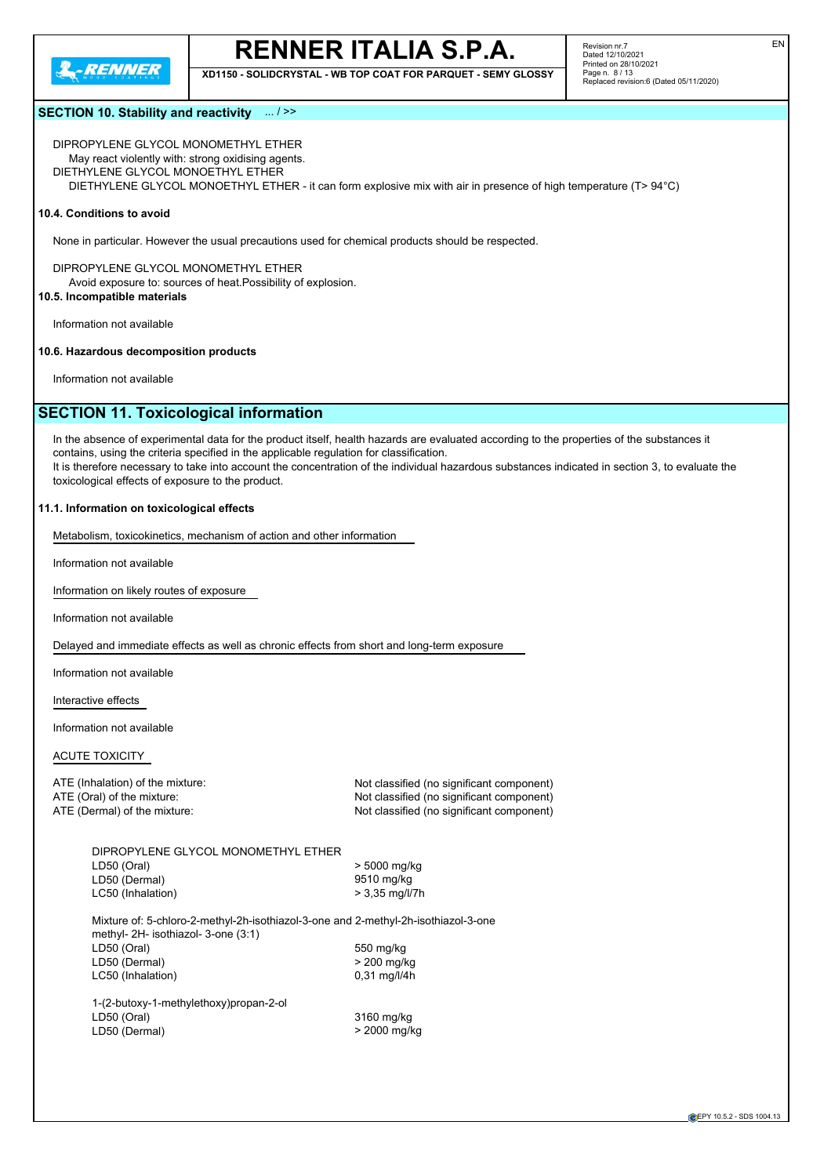

**XD1150 - SOLIDCRYSTAL - WB TOP COAT FOR PARQUET - SEMY GLOSSY**

Revision nr.7 Dated 12/10/2021 Printed on 28/10/2021 Page n. 8 / 13 Replaced revision:6 (Dated 05/11/2020)

### **SECTION 10. Stability and reactivity** ... / >>

DIPROPYLENE GLYCOL MONOMETHYL ETHER May react violently with: strong oxidising agents. DIETHYLENE GLYCOL MONOETHYL ETHER DIETHYLENE GLYCOL MONOETHYL ETHER - it can form explosive mix with air in presence of high temperature (T> 94°C)

#### **10.4. Conditions to avoid**

None in particular. However the usual precautions used for chemical products should be respected.

DIPROPYLENE GLYCOL MONOMETHYL ETHER Avoid exposure to: sources of heat.Possibility of explosion.

## **10.5. Incompatible materials**

Information not available

#### **10.6. Hazardous decomposition products**

Information not available

# **SECTION 11. Toxicological information**

In the absence of experimental data for the product itself, health hazards are evaluated according to the properties of the substances it contains, using the criteria specified in the applicable regulation for classification. It is therefore necessary to take into account the concentration of the individual hazardous substances indicated in section 3, to evaluate the toxicological effects of exposure to the product.

#### **11.1. Information on toxicological effects**

Metabolism, toxicokinetics, mechanism of action and other information

Information not available

Information on likely routes of exposure

Information not available

Delayed and immediate effects as well as chronic effects from short and long-term exposure

Information not available

Interactive effects

Information not available

#### ACUTE TOXICITY

ATE (Inhalation) of the mixture: Not classified (no significant component) ATE (Oral) of the mixture: Not classified (no significant component) ATE (Dermal) of the mixture:  $\blacksquare$  Not classified (no significant component)

| DIPROPYLENE GLYCOL MONOMETHYL ETHER                                                                                       |                  |
|---------------------------------------------------------------------------------------------------------------------------|------------------|
| LD50 (Oral)                                                                                                               | > 5000 mg/kg     |
| LD50 (Dermal)                                                                                                             | 9510 mg/kg       |
| LC50 (Inhalation)                                                                                                         | $> 3.35$ mg/l/7h |
| Mixture of: 5-chloro-2-methyl-2h-isothiazol-3-one and 2-methyl-2h-isothiazol-3-one<br>methyl- 2H- isothiazol- 3-one (3:1) |                  |
| LD50 (Oral)                                                                                                               | 550 mg/kg        |
| LD50 (Dermal)                                                                                                             | > 200 mg/kg      |
| LC50 (Inhalation)                                                                                                         | $0.31$ mg/l/4h   |
| 1-(2-butoxy-1-methylethoxy)propan-2-ol                                                                                    |                  |
| LD50 (Oral)                                                                                                               | 3160 mg/kg       |
| LD50 (Dermal)                                                                                                             | > 2000 mg/kg     |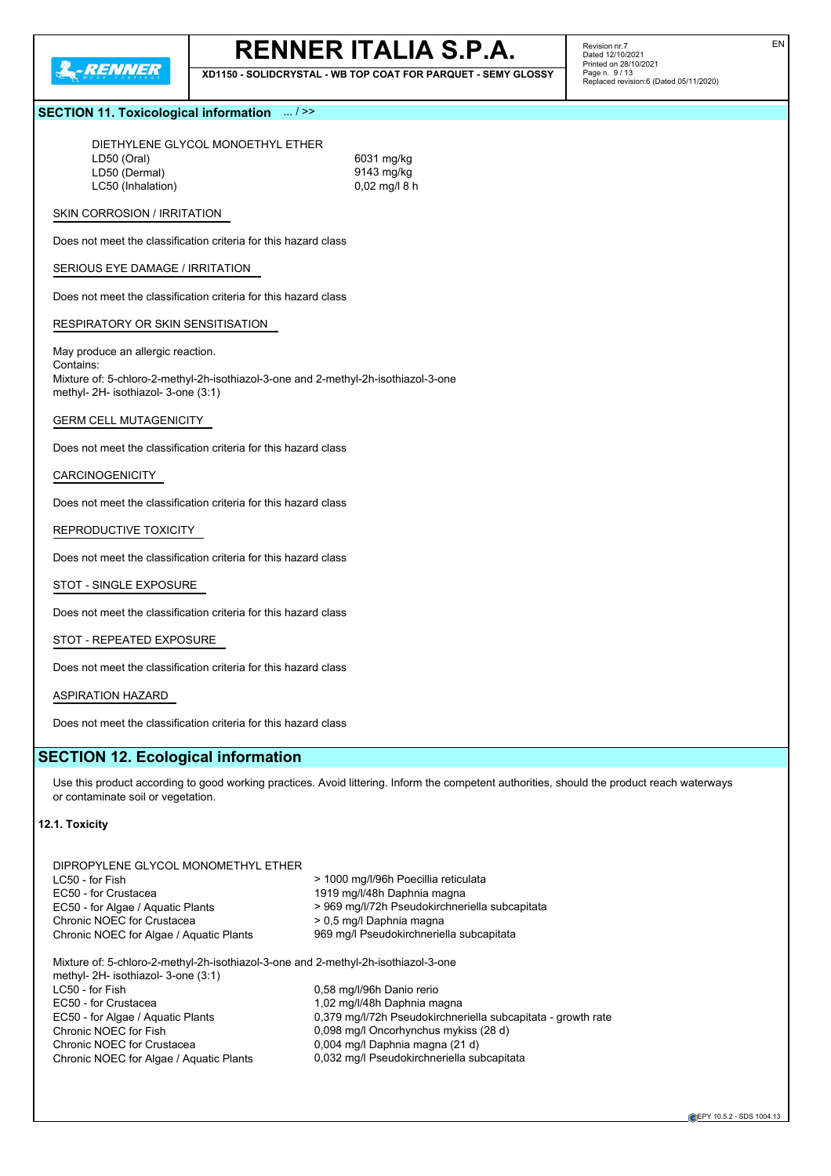

**XD1150 - SOLIDCRYSTAL - WB TOP COAT FOR PARQUET - SEMY GLOSSY**

Revision nr.7 Dated 12/10/2021 Printed on 28/10/2021 Page n. 9 / 13 Replaced revision:6 (Dated 05/11/2020)

### **SECTION 11. Toxicological information** ... / >>

DIETHYLENE GLYCOL MONOETHYL ETHER LD50 (Oral) 6031 mg/kg<br>
LD50 (Dermal) 6031 mg/kg<br>
9143 mg/kg LD50 (Dermal) 8143 mg/kg<br>
LC50 (Inhalation) 815 mg/kg<br>
9143 mg/kg<br>
9143 mg/kg LC50 (Inhalation)

#### SKIN CORROSION / IRRITATION

Does not meet the classification criteria for this hazard class

### SERIOUS EYE DAMAGE / IRRITATION

Does not meet the classification criteria for this hazard class

#### RESPIRATORY OR SKIN SENSITISATION

May produce an allergic reaction. Contains: Mixture of: 5-chloro-2-methyl-2h-isothiazol-3-one and 2-methyl-2h-isothiazol-3-one methyl- 2H- isothiazol- 3-one (3:1)

#### GERM CELL MUTAGENICITY

Does not meet the classification criteria for this hazard class

#### CARCINOGENICITY

Does not meet the classification criteria for this hazard class

#### REPRODUCTIVE TOXICITY

Does not meet the classification criteria for this hazard class

#### STOT - SINGLE EXPOSURE

Does not meet the classification criteria for this hazard class

### STOT - REPEATED EXPOSURE

Does not meet the classification criteria for this hazard class

#### ASPIRATION HAZARD

Does not meet the classification criteria for this hazard class

## **SECTION 12. Ecological information**

DIPROPYLENE GLYCOL MONOMETHYL ETHER

Use this product according to good working practices. Avoid littering. Inform the competent authorities, should the product reach waterways or contaminate soil or vegetation.

### **12.1. Toxicity**

| LC50 - for Fish                                                                                                           | > 1000 mg/l/96h Poecillia reticulata                         |
|---------------------------------------------------------------------------------------------------------------------------|--------------------------------------------------------------|
| EC50 - for Crustacea                                                                                                      | 1919 mg/l/48h Daphnia magna                                  |
| EC50 - for Algae / Aquatic Plants                                                                                         | > 969 mg/l/72h Pseudokirchneriella subcapitata               |
| Chronic NOEC for Crustacea                                                                                                | > 0.5 mg/l Daphnia magna                                     |
| Chronic NOEC for Algae / Aguatic Plants                                                                                   | 969 mg/l Pseudokirchneriella subcapitata                     |
| Mixture of: 5-chloro-2-methyl-2h-isothiazol-3-one and 2-methyl-2h-isothiazol-3-one<br>methyl- 2H- isothiazol- 3-one (3:1) |                                                              |
| LC50 - for Fish                                                                                                           | 0,58 mg/l/96h Danio rerio                                    |
| EC50 - for Crustacea                                                                                                      | 1,02 mg/l/48h Daphnia magna                                  |
| EC50 - for Algae / Aguatic Plants                                                                                         | 0,379 mg/l/72h Pseudokirchneriella subcapitata - growth rate |
| Chronic NOEC for Fish                                                                                                     | 0,098 mg/l Oncorhynchus mykiss (28 d)                        |
| Chronic NOEC for Crustacea                                                                                                | 0,004 mg/l Daphnia magna (21 d)                              |
| Chronic NOEC for Algae / Aquatic Plants                                                                                   | 0,032 mg/l Pseudokirchneriella subcapitata                   |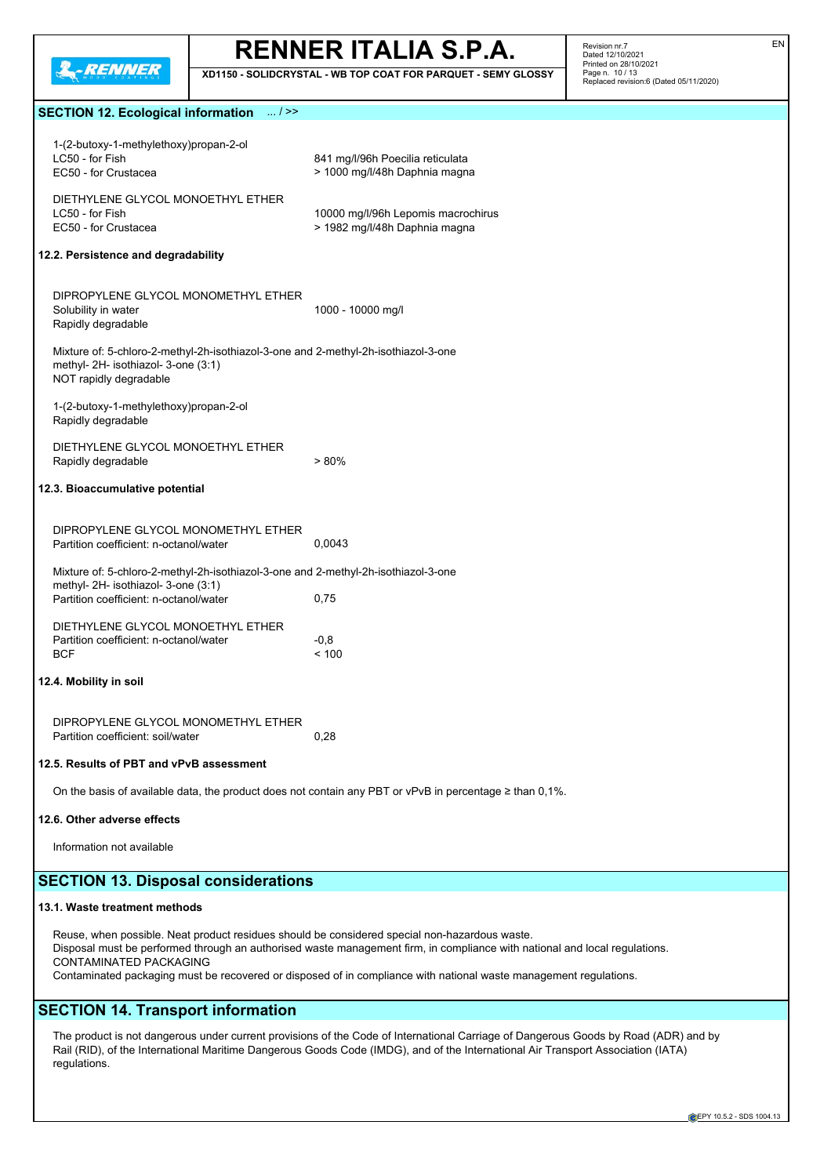

**XD1150 - SOLIDCRYSTAL - WB TOP COAT FOR PARQUET - SEMY GLOSSY**

Revision nr.7 Dated 12/10/2021 Printed on 28/10/2021 Page n. 10 / 13 Replaced revision:6 (Dated 05/11/2020)

# **SECTION 12. Ecological information** ... / >>

| 1-(2-butoxy-1-methylethoxy)propan-2-ol<br>LC50 - for Fish<br>EC50 - for Crustacea                                                                                                                                                                                                                                                                                                 | 841 mg/l/96h Poecilia reticulata<br>> 1000 mg/l/48h Daphnia magna                                                                                                                                                                                                       |  |  |
|-----------------------------------------------------------------------------------------------------------------------------------------------------------------------------------------------------------------------------------------------------------------------------------------------------------------------------------------------------------------------------------|-------------------------------------------------------------------------------------------------------------------------------------------------------------------------------------------------------------------------------------------------------------------------|--|--|
| DIETHYLENE GLYCOL MONOETHYL ETHER<br>LC50 - for Fish<br>EC50 - for Crustacea                                                                                                                                                                                                                                                                                                      | 10000 mg/l/96h Lepomis macrochirus<br>> 1982 mg/l/48h Daphnia magna                                                                                                                                                                                                     |  |  |
| 12.2. Persistence and degradability                                                                                                                                                                                                                                                                                                                                               |                                                                                                                                                                                                                                                                         |  |  |
| DIPROPYLENE GLYCOL MONOMETHYL ETHER<br>Solubility in water<br>Rapidly degradable                                                                                                                                                                                                                                                                                                  | 1000 - 10000 mg/l                                                                                                                                                                                                                                                       |  |  |
| Mixture of: 5-chloro-2-methyl-2h-isothiazol-3-one and 2-methyl-2h-isothiazol-3-one<br>methyl- 2H- isothiazol- 3-one (3:1)<br>NOT rapidly degradable                                                                                                                                                                                                                               |                                                                                                                                                                                                                                                                         |  |  |
| 1-(2-butoxy-1-methylethoxy)propan-2-ol<br>Rapidly degradable                                                                                                                                                                                                                                                                                                                      |                                                                                                                                                                                                                                                                         |  |  |
| DIETHYLENE GLYCOL MONOETHYL ETHER<br>Rapidly degradable                                                                                                                                                                                                                                                                                                                           | $> 80\%$                                                                                                                                                                                                                                                                |  |  |
| 12.3. Bioaccumulative potential                                                                                                                                                                                                                                                                                                                                                   |                                                                                                                                                                                                                                                                         |  |  |
| DIPROPYLENE GLYCOL MONOMETHYL ETHER<br>Partition coefficient: n-octanol/water                                                                                                                                                                                                                                                                                                     | 0,0043                                                                                                                                                                                                                                                                  |  |  |
| Mixture of: 5-chloro-2-methyl-2h-isothiazol-3-one and 2-methyl-2h-isothiazol-3-one<br>methyl- 2H- isothiazol- 3-one (3:1)<br>Partition coefficient: n-octanol/water                                                                                                                                                                                                               | 0,75                                                                                                                                                                                                                                                                    |  |  |
| DIETHYLENE GLYCOL MONOETHYL ETHER<br>Partition coefficient: n-octanol/water<br><b>BCF</b>                                                                                                                                                                                                                                                                                         | $-0.8$<br>< 100                                                                                                                                                                                                                                                         |  |  |
| 12.4. Mobility in soil                                                                                                                                                                                                                                                                                                                                                            |                                                                                                                                                                                                                                                                         |  |  |
| DIPROPYLENE GLYCOL MONOMETHYL ETHER<br>Partition coefficient: soil/water                                                                                                                                                                                                                                                                                                          | 0,28                                                                                                                                                                                                                                                                    |  |  |
| 12.5. Results of PBT and vPvB assessment                                                                                                                                                                                                                                                                                                                                          |                                                                                                                                                                                                                                                                         |  |  |
| On the basis of available data, the product does not contain any PBT or vPvB in percentage $\geq$ than 0,1%.                                                                                                                                                                                                                                                                      |                                                                                                                                                                                                                                                                         |  |  |
| 12.6. Other adverse effects                                                                                                                                                                                                                                                                                                                                                       |                                                                                                                                                                                                                                                                         |  |  |
| Information not available                                                                                                                                                                                                                                                                                                                                                         |                                                                                                                                                                                                                                                                         |  |  |
| <b>SECTION 13. Disposal considerations</b>                                                                                                                                                                                                                                                                                                                                        |                                                                                                                                                                                                                                                                         |  |  |
| 13.1. Waste treatment methods                                                                                                                                                                                                                                                                                                                                                     |                                                                                                                                                                                                                                                                         |  |  |
| Reuse, when possible. Neat product residues should be considered special non-hazardous waste.<br>Disposal must be performed through an authorised waste management firm, in compliance with national and local regulations.<br><b>CONTAMINATED PACKAGING</b><br>Contaminated packaging must be recovered or disposed of in compliance with national waste management regulations. |                                                                                                                                                                                                                                                                         |  |  |
| <b>SECTION 14. Transport information</b>                                                                                                                                                                                                                                                                                                                                          |                                                                                                                                                                                                                                                                         |  |  |
| regulations.                                                                                                                                                                                                                                                                                                                                                                      | The product is not dangerous under current provisions of the Code of International Carriage of Dangerous Goods by Road (ADR) and by<br>Rail (RID), of the International Maritime Dangerous Goods Code (IMDG), and of the International Air Transport Association (IATA) |  |  |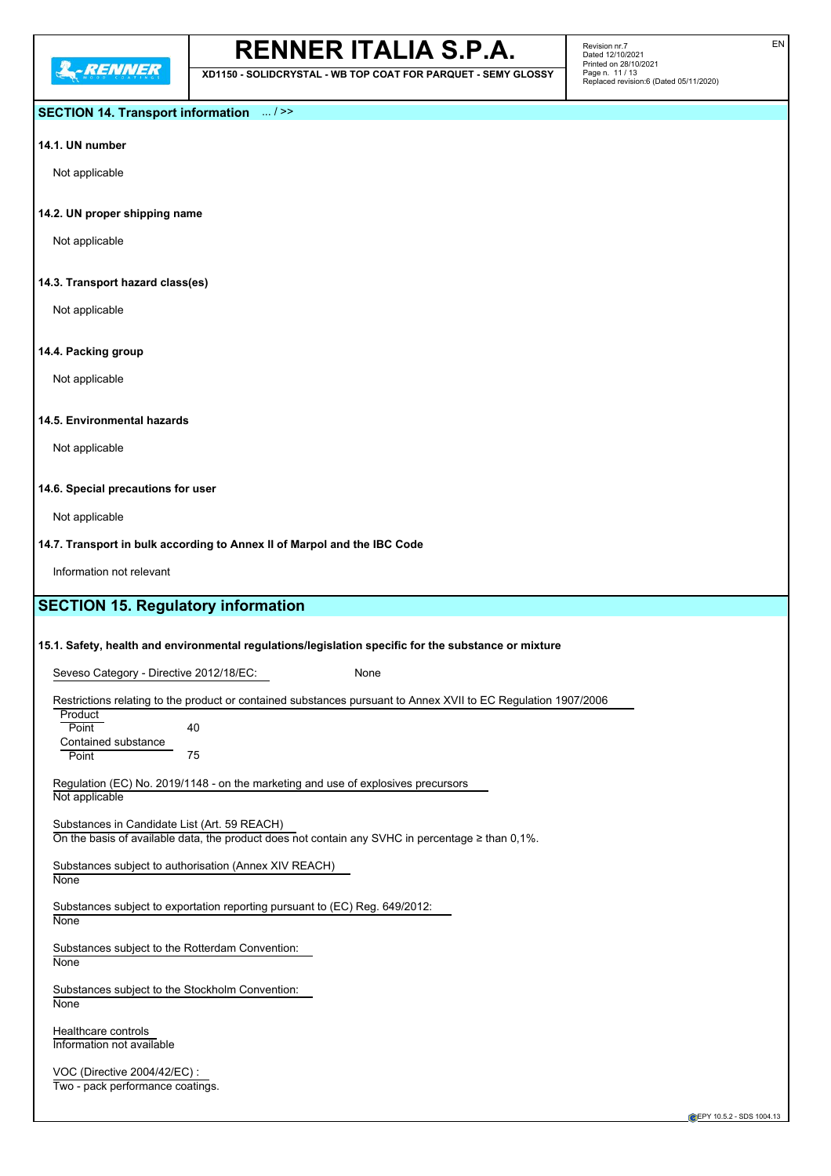**XD1150 - SOLIDCRYSTAL - WB TOP COAT FOR PARQUET - SEMY GLOSSY**

Revision nr.7 Dated 12/10/2021 Printed on 28/10/2021 Page n. 11 / 13 Replaced revision:6 (Dated 05/11/2020)

### **SECTION 14. Transport information** ... / >>

## **14.1. UN number**

Not applicable

#### **14.2. UN proper shipping name**

Not applicable

#### **14.3. Transport hazard class(es)**

Not applicable

#### **14.4. Packing group**

Not applicable

## **14.5. Environmental hazards**

Not applicable

#### **14.6. Special precautions for user**

Not applicable

#### **14.7. Transport in bulk according to Annex II of Marpol and the IBC Code**

Information not relevant

# **SECTION 15. Regulatory information**

#### **15.1. Safety, health and environmental regulations/legislation specific for the substance or mixture**

Seveso Category - Directive 2012/18/EC: None

Restrictions relating to the product or contained substances pursuant to Annex XVII to EC Regulation 1907/2006

**Product** Point 40 Contained substance Point 75

Regulation (EC) No. 2019/1148 - on the marketing and use of explosives precursors Not applicable

Substances in Candidate List (Art. 59 REACH) On the basis of available data, the product does not contain any SVHC in percentage  $\geq$  than 0,1%.

Substances subject to authorisation (Annex XIV REACH)

# **None**

Substances subject to exportation reporting pursuant to (EC) Reg. 649/2012:

**None** 

Substances subject to the Rotterdam Convention:

**None** 

Substances subject to the Stockholm Convention: **None** 

Healthcare controls Information not available

VOC (Directive 2004/42/EC) : Two - pack performance coatings.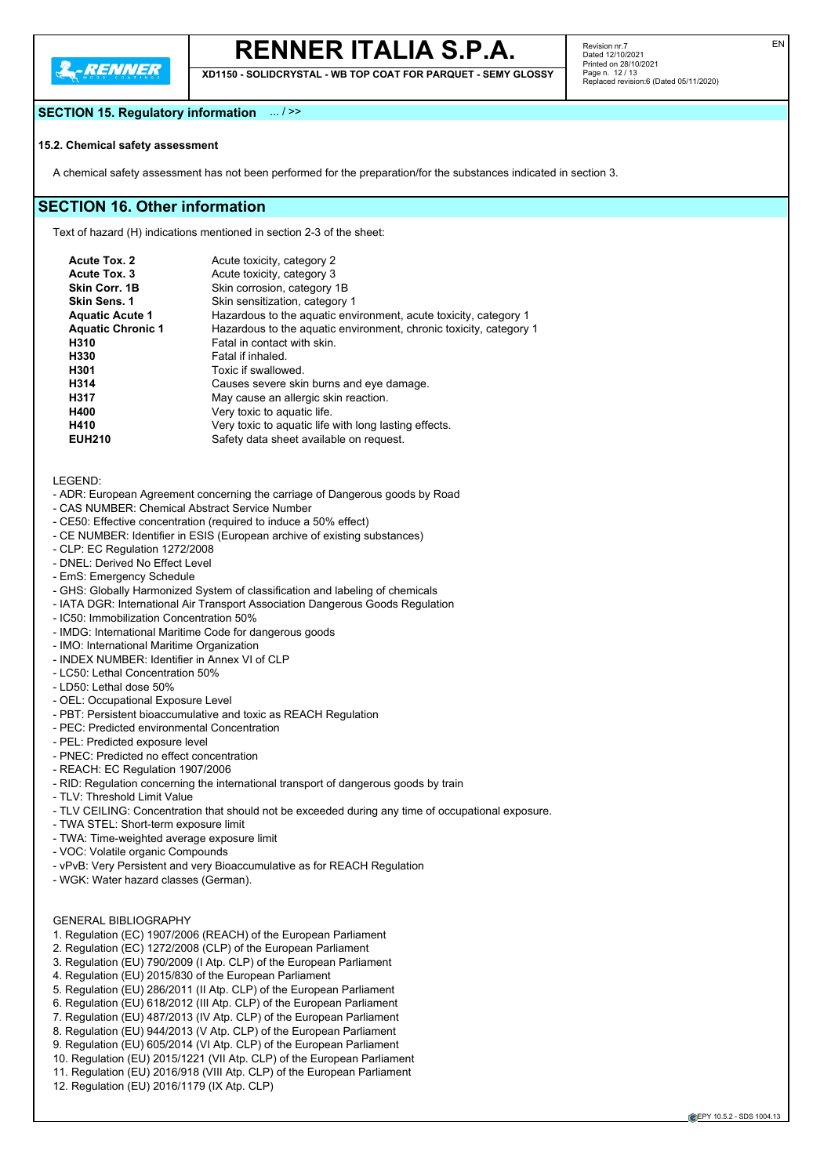

**XD1150 - SOLIDCRYSTAL - WB TOP COAT FOR PARQUET - SEMY GLOSSY**

## **SECTION 15. Regulatory information** ... / >>

#### **15.2. Chemical safety assessment**

A chemical safety assessment has not been performed for the preparation/for the substances indicated in section 3.

## **SECTION 16. Other information**

Text of hazard (H) indications mentioned in section 2-3 of the sheet:

| <b>Acute Tox. 2</b>      | Acute toxicity, category 2                                         |
|--------------------------|--------------------------------------------------------------------|
| Acute Tox. 3             | Acute toxicity, category 3                                         |
| Skin Corr. 1B            | Skin corrosion, category 1B                                        |
| <b>Skin Sens. 1</b>      | Skin sensitization, category 1                                     |
| <b>Aquatic Acute 1</b>   | Hazardous to the aquatic environment, acute toxicity, category 1   |
| <b>Aquatic Chronic 1</b> | Hazardous to the aquatic environment, chronic toxicity, category 1 |
| H310                     | Fatal in contact with skin.                                        |
| H330                     | Fatal if inhaled.                                                  |
| H301                     | Toxic if swallowed.                                                |
| H314                     | Causes severe skin burns and eye damage.                           |
| H317                     | May cause an allergic skin reaction.                               |
| H400                     | Very toxic to aquatic life.                                        |
| H410                     | Very toxic to aquatic life with long lasting effects.              |
| <b>EUH210</b>            | Safety data sheet available on request.                            |

LEGEND:

- ADR: European Agreement concerning the carriage of Dangerous goods by Road
- CAS NUMBER: Chemical Abstract Service Number
- CE50: Effective concentration (required to induce a 50% effect)
- CE NUMBER: Identifier in ESIS (European archive of existing substances)
- CLP: EC Regulation 1272/2008
- DNEL: Derived No Effect Level
- EmS: Emergency Schedule
- GHS: Globally Harmonized System of classification and labeling of chemicals
- IATA DGR: International Air Transport Association Dangerous Goods Regulation
- IC50: Immobilization Concentration 50%
- IMDG: International Maritime Code for dangerous goods
- IMO: International Maritime Organization
- INDEX NUMBER: Identifier in Annex VI of CLP
- LC50: Lethal Concentration 50%
- LD50: Lethal dose 50%
- OEL: Occupational Exposure Level
- PBT: Persistent bioaccumulative and toxic as REACH Regulation
- PEC: Predicted environmental Concentration
- PEL: Predicted exposure level
- PNEC: Predicted no effect concentration
- REACH: EC Regulation 1907/2006
- RID: Regulation concerning the international transport of dangerous goods by train
- TLV: Threshold Limit Value
- TLV CEILING: Concentration that should not be exceeded during any time of occupational exposure.
- TWA STEL: Short-term exposure limit
- TWA: Time-weighted average exposure limit
- VOC: Volatile organic Compounds
- vPvB: Very Persistent and very Bioaccumulative as for REACH Regulation
- WGK: Water hazard classes (German).

#### GENERAL BIBLIOGRAPHY

- 1. Regulation (EC) 1907/2006 (REACH) of the European Parliament
- 2. Regulation (EC) 1272/2008 (CLP) of the European Parliament
- 3. Regulation (EU) 790/2009 (I Atp. CLP) of the European Parliament
- 4. Regulation (EU) 2015/830 of the European Parliament
- 5. Regulation (EU) 286/2011 (II Atp. CLP) of the European Parliament
- 6. Regulation (EU) 618/2012 (III Atp. CLP) of the European Parliament
- 7. Regulation (EU) 487/2013 (IV Atp. CLP) of the European Parliament
- 8. Regulation (EU) 944/2013 (V Atp. CLP) of the European Parliament
- 9. Regulation (EU) 605/2014 (VI Atp. CLP) of the European Parliament
- 10. Regulation (EU) 2015/1221 (VII Atp. CLP) of the European Parliament
- 11. Regulation (EU) 2016/918 (VIII Atp. CLP) of the European Parliament
- 12. Regulation (EU) 2016/1179 (IX Atp. CLP)